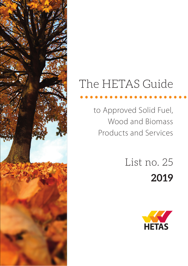# The HETAS Guide Ine HEIAS GUIDE

to Approved Solid Fuel, Wood and Biomass Products and Services

> List no. 25 **2019**

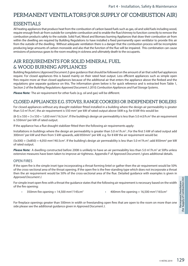## PERMANENT VENTILATORS (FOR SUPPLY OF COMBUSTION AIR)

## **ESSENTIALS**

All heating appliances that produce heat from the combustion of carbon based fuels such as gas, oil and solid fuels including wood, require enough fresh air from outside for complete combustion and to enable the flue/chimney to function correctly to remove the combustion products safely to the outside. Solid Fuel, Wood and Biomass burning Appliances that draw their combustion air from within the dwelling are required by Building Regulations to have installed a fixed permanently open ventilator to provide this air from the outside of the dwelling. Without adequate ventilation there is a danger that the combustion process will be incomplete producing large amounts of carbon monoxide and also that the function of the flue will be impaired. This combination can cause emissions of poisonous gases to the room resulting in sickness and ultimately death to the occupants.

## AIR REQUIREMENTS FOR SOLID MINERAL FUEL & WOOD BURNING APPLIANCES

Building Regulations (*Approved Document J*) give guidance that should be followed on the amount of air that solid fuel appliances require. For closed appliances this is based mainly on their rated heat output. Less efficient appliances such as simple open fires require more air than closed appliances because of the additional air that enters the appliance above the firebed and the regulations give separate guidance on this. The information given below is for quick reference and is extracted from Table 1, Section 2 of the Building Regulations *Approved Document J: 2010; Combustion Appliances and Fuel Storage Systems*.

**Please Note:** The air requirement for other fuels (e.g. oil and gas) will be different.

## CLOSED APPLIANCES E.G. STOVES, RANGE COOKERS OR INDEPENDENT BOILERS

For closed appliances without any draught stabilizer fitted installed in a building where the design air permeability is greater than 5.0 m<sup>3</sup>/h.m<sup>2</sup>, the air requirement is 550 mm<sup>2</sup> per kW of rated output above 5kW e.g. for 8 kW this would be:

(8-5) x 550 = 3 x 550 = 1,650 mm<sup>2</sup>/16.5cm<sup>2</sup>. If the building's design air permeability is less than 5.0 m3/h.m<sup>2</sup> the air requirement is 550mm2 per kW of rated output.

If the appliance has a flue draught stabilizer fitted then the following air requirements apply:

Installations in buildings where the design air permeability is greater than 5.0  $m^3/h.m^2$ ; For the first 5 kW of rated output add 300mm<sup>2</sup> per kW and then from 5 kW upwards, add 850mm<sup>2</sup> per kW. e.g. for 8 kW the air requirement would be:

 $(5x300) + (3x850) = 4,050$  mm<sup>2</sup>/40.5cm<sup>2</sup>. If the building's design air permeability is less than 5.0 m<sup>3</sup>/h.m<sup>2</sup>; add 850mm<sup>2</sup> per kW of rated output.

Please Note: A dwelling constructed before 2008 is unlikely to have an air permeability less than 5.0 m<sup>3</sup>/h.m<sup>2</sup> at 50Pa unless extensive measures have been taken to improve air tightness. Appendix F of *Approved Document J* gives additional details.

#### OPEN FIRES

If the open fire is the simple inset type incorporating a throat forming lintel or gather then the air requirement would be 50% of the cross-sectional area of the throat opening. If the open fire is the free-standing type which does not incorporate a throat then the air requirement would be 50% of the cross-sectional area of the flue. Detailed guidance with examples is given in *Approved Document J.*

For simple inset open fires with a throat the guidance states that the following air requirement is necessary based on the width of the fire opening:

- 350mm fire opening =  $14,500$  mm<sup>2</sup>/145cm<sup>2</sup>
	- /145cm<sup>2</sup> 400mm fire opening = 16,500 mm<sup>2</sup>/165cm<sup>2</sup>

For fireplace openings greater than 500mm in width or freestanding open fires that are open to the room on more than one side please see the additional guidance given in *Approved Document J*.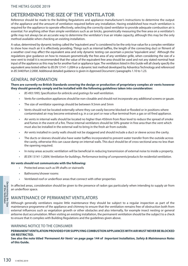#### DETERMINING THE SIZE OF THE VENTILATOR

Reference should be made to the Building Regulations and appliance manufacturer's instructions to determine the output of the appliance and the amount of ventilation required before any installation. Having established how much ventilation is required for the appliance to operate effectively, selecting the correctly sized ventilator to provide adequate combustion air is essential. For anything other than simple ventilators such as air bricks, geometrically measuring the free area on a ventilator's grille may not always be an accurate way to determine the ventilator's true air intake capacity, although this may be the only method available when checking an existing installation.

A value, determined by dynamic testing called the "equivalent area" is considered to be the only true value for a complex ventilator to show how much air it is effectively providing. Things such as internal baffles, the length of the connecting duct or fitment of a weather cowl may affect the equivalent area and only dynamic testing can ascertain a precise "equivalent area". Although the regulations give guidance on how to measure geometrically the free area of any ventilator grille, when considering the size of a new vent to install it is recommended that the value of the equivalent free area should be used and not any stated nominal heat input of the appliance as this may be for another fuel or appliance type. The ventilators listed in this Guide will all clearly specify the equivalent area tested either to *BS EN 13141-1:2004* or a dynamic test method developed by Advantica Technology and referenced in *BS 5440:Part 2:2000.* Additional detailed guidance is given in *Approved Document J* paragraphs 1.10 to 1.23.

#### GENERAL INFORMATION

#### **There are currently no British Standards covering the design or production of proprietary complex air vents however they should generally comply and be installed with the following guidelines taken into consideration:**

- *BS 493:1995; Specification for airbricks and gratings for wall ventilation.*
- Vents for combustion appliances should be non-closable and should not incorporate any additional screens or gauze.
- The size of ventilator openings should be between 9.5mm and 5mm
- Vents should not be located externally where they can easily become blocked or flooded or in positions where contaminated air may become entrained e.g. in a car port or near a flue terminal from a gas or oil fired appliance.
- Air vents in internal walls should be located no higher than 450mm from floor level to reduce the spread of smoke and fumes in the event of a fire. These internal ventilators should be 50% greater in free area than the vent which must also be installed in the external wall to bring in the fresh air from outside.
- Air vents installed in cavity walls should not be staggered and should include a duct or sleeve across the cavity.
- The ducts or sleeves should also have water baffles incorporated to prevent water transfer from the outside across the cavity, otherwise this can cause damp on internal walls. This duct should be of cross-sectional area no less than the opening required.
- In noisy areas acoustic ventilation will be beneficial in reducing transmission of external noise to inside a property.
- *BS EN 13141-1:2004; Ventilation for buildings. Performance testing of components/products for residential ventilation.*

#### **Air vents should not communicate with the following:**

- Protected areas such as lift shafts or stairwells
- Bathrooms/shower rooms
- Ventilated roof or underfloor areas that connect with other properties

In affected areas, consideration should be given to the presence of radon gas particularly when intending to supply air from an underfloor space.

#### MAINTENANCE OF PERMANENT VENTILATORS

Per in affected area<br>
an underfloo<br>
and an underfloo<br>
and the Size<br> **Example 150**<br>
Although ge<br>
maintenance<br>
external influ<br>
airborne dust<br>
to ensure tha<br>
WARNING<br> **PERMANENI OR RESTRICT**<br> **See also the<br>
of this Guide<br>
<br>** Although generally ventilators require little maintenance they should be subject to a regular inspection as part of the maintenance programme of the appliance and chimney to ensure that the ventilation remains free of obstruction both from external influences such as vegetation growth or other obstacles and also internally, for example insect nesting or general airborne dust accumulation. When visiting an existing installation, the permanent ventilation should be the subject to a check to ensure that it complies with Building Regulations and the guidelines given above.

#### WARNING NOTICE TO THE CONSUMER

#### **PERMANENT VENTILATION PROVIDED FOR SUPPLYING COMBUSTION APPLIANCES WITH AIR MUST NEVER BE BLOCKED OR RESTRICTED.**

**See also the note titled** *'Permanent Air Vents'* **on page page 144 of** *Important Installation, Safety & Maintenance Notes*  **of this Guide.**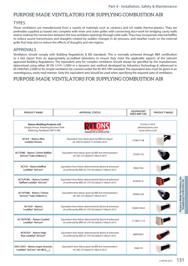#### PURPOSE-MADE VENTILATORS FOR SUPPLYING COMBUSTION AIR

#### **TYPES**

These ventilators are manufactured from a variety of materials such as ceramics and UV stable thermo-plastics. They are preferably supplied as boxed sets complete with inner and outer grilles with connecting duct-work for bridging cavity walls and/or making the connection between the two ventilator openings through solid walls. They may incorporate internal baffles to reduce sound transmission and draughts created by sudden changes in air pressure, and weather cowls on the external grille that help also to reduce the effects of draughts and rain ingress.

#### APPROVALS

Ventilators should comply with Building Regulations & BSI standards. This is normally achieved through BBA certification or a test report from an appropriately accredited laboratory to ensure they meet the applicable aspects of the relevant approved Building Regulations. The equivalent area for complex ventilators should always be specified by the manufacturer, determined using either *BS EN 13141-1:2004* or a dynamic test method developed by Advantica Technology & referenced in *BS 5440:Part 2:2000* or for simple ventilators be covered under the *BS 493:1995* standard. The equivalent area must be given in an unambiguous, easily read manner. Only this equivalent area should be used when specifying the required sizes of ventilators.

#### PURPOSE-MADE VENTILATORS FOR SUPPLYING COMBUSTION AIR

| <b>PRODUCT NAME</b>                                                                                                                        | <b>APPROVAL STATUS</b>                                                                                        | <b>EQUIVALENT</b><br>AREA MM <sup>2</sup> /CM <sup>2</sup> | <b>PRODUCT IMAGE</b>                                |  |
|--------------------------------------------------------------------------------------------------------------------------------------------|---------------------------------------------------------------------------------------------------------------|------------------------------------------------------------|-----------------------------------------------------|--|
| <b>Rytons Building Products Ltd</b><br>Design House, Kettering Business Park<br>Kettering, Northants NN15 6NL<br>INNOVATION IN VENTILATION |                                                                                                               |                                                            | 01536 511874<br>admin@rytons.com<br>www.vents.co.uk |  |
| <b>AC3LP - Rytons Mini</b><br><b>LookRyt Aircore</b>                                                                                       | Equivalent Area Value given by BRE test report<br>ref. 299723 dated 15-October 2014                           | 3168/31.68                                                 |                                                     |  |
| AC7TUBE - Rytons 125mm Baffled<br>AirCore® Tube (358mm L)                                                                                  | Equivalent Area Values given by BRE test memorandum<br>ref. 283-275 dated 01-March 2013                       | 15500/155                                                  |                                                     |  |
| <b>AC7LP - Rytons Baffled</b><br>LookRyt <sup>®</sup> AirCore®                                                                             | Equivalent Area Values determined by Rytons & witnessed<br>& confirmed by BRE ref. CV5192 dated 21 March 2012 | 7900/79.0                                                  |                                                     |  |
| <b>AC7LPCWL - Rytons Cowled</b><br>Baffled LookRyt® AirCore®                                                                               | Equivalent Area Values determined by Rytons & witnessed<br>& confirmed by BRE ref. CV5192 dated 21 March 2012 | 8100/81.0                                                  |                                                     |  |
| AC10TUBE - Rytons 125mm<br>AirCore® Tube (358mm L)                                                                                         | Equivalent Area Values given by BRE test memorandum<br>ref. 283-275 dated 01-March 2013                       | 23900/239                                                  |                                                     |  |
| AC10LP - Rytons<br>LookRyt <sup>®</sup> AirCore®                                                                                           | Equivalent Area Values determined by Rytons & witnessed<br>& confirmed by BRE ref. CV5192 dated 21 March 2012 | 10400/104.0                                                |                                                     |  |
| <b>AC10LPCWL - Rytons Cowled</b><br>LookRyt <sup>®</sup> AirCore®                                                                          | Equivalent Area Values determined by Rytons & witnessed<br>& confirmed by BRE ref. CV5192 dated 21 March 2012 | 11100/111.0                                                |                                                     |  |
| ACH75LP - Rytons High<br>Rise LookRyt® AirCore®                                                                                            | Equivalent Area Values determined by Rytons & witnessed<br>& confirmed by BRE ref. CV5192 dated 21 March 2012 | 6800/68.0                                                  |                                                     |  |
| AAC125LP - Rytons Super Acoustic<br>LookRyt® AirCore® (44 dB D <sub>new</sub> )                                                            | Equivalent Area Values given by BRE test memorandum<br>ref. 283-275 dated 01-March 2013                       | 7400/74                                                    |                                                     |  |
|                                                                                                                                            |                                                                                                               |                                                            | 131<br>© HETAS 2019                                 |  |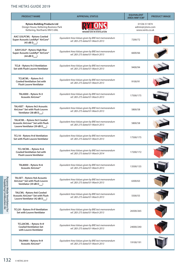#### THE HETAS GUIDE 2019

| <b>PRODUCT NAME</b>                                                                                               | <b>APPROVAL STATUS</b>                                                                  | <b>EQUIVALENT</b><br>AREA MM <sup>2</sup> /CM <sup>2</sup> | <b>PRODUCT IMAGE</b> |
|-------------------------------------------------------------------------------------------------------------------|-----------------------------------------------------------------------------------------|------------------------------------------------------------|----------------------|
| <b>Rytons Building Products Ltd</b><br>Design House, Kettering Business Park<br>Kettering, Northants NN15 6NL     | INNOVATION IN VENTILATION                                                               | 01536 511874<br>admin@rytons.com<br>www.vents.co.uk        |                      |
| AAC125LPCWL - Rytons Cowled<br>Super Acoustic LookRyt® AirCore®<br>$(45 dB D_{n.e.w})$                            | Equivalent Area Values given by BRE test memorandum<br>ref. 283-275 dated 01-March 2013 | 7200/72                                                    |                      |
| AAH125LP - Rytons High Rise<br>Super Acoustic LookRyt® AirCore®<br>$(44 dB D_{new})$                              | Equivalent Area Values given by BRE test memorandum<br>ref. 283-275 dated 01-March 2013 | 6600/66                                                    |                      |
| TCL8 - Rytons 9×3 Ventilation<br>Set with Flush Louvre Ventilator                                                 | Equivalent Area Values given by BRE test memorandum<br>ref. 283-275 dated 01-March 2013 | 9400/94                                                    |                      |
| TCL8CWL - Rytons 9×3<br><b>Cowled Ventilation Set with</b><br><b>Flush Louvre Ventilator</b>                      | Equivalent Area Values given by BRE test memorandum<br>ref. 283-275 dated 01-March 2013 | 9100/91                                                    |                      |
| TAL4000 - Rytons $9\times3$<br>Acoustic AirLiner <sup>®</sup>                                                     | Equivalent Area Values given by BRE test memorandum<br>ref. 283-275 dated 01-March 2013 | 17500/175                                                  |                      |
| TAL4SET - Rytons 9x3 Acoustic<br>AirLiner® Set with Flush Louvre<br>Ventilator (38 dB $D_{n.e.w}$ )               | Equivalent Area Values given by BRE test memorandum<br>ref. 283-275 dated 01-March 2013 | 5800/58                                                    |                      |
| TAL4CWL - Rytons 9x3 Cowled<br>Acoustic AirLiner® Set with Flush<br>Louvre Ventilator (39 dB $D_{new}$ )          | Equivalent Area Values given by BRE test memorandum<br>ref. 283-275 dated 01-March 2013 | 5800/58                                                    |                      |
| TCL18 - Rytons 9×6 Ventilation<br>Set with Flush Louvre Ventilator                                                | Equivalent Area Values given by BRE test memorandum<br>ref. 283-275 dated 01-March 2013 | 17500/175                                                  |                      |
| TCL18CWL - Rytons 9×6<br><b>Cowled Ventilation Set with</b><br><b>Flush Louvre Ventilator</b>                     | Equivalent Area Values given by BRE test memorandum<br>ref. 283-275 dated 01-March 2014 | 17200/172                                                  |                      |
| TAL8000 - Rytons $9\times6$<br>Acoustic AirLiner®                                                                 | Equivalent Area Values given by BRE test memorandum<br>ref. 283-275 dated 01-March 2013 | 13500/135                                                  |                      |
| TALSET - Rytons 9x6 Acoustic<br>AirLiner® Set with Flush Louvre<br>Ventilator (39 dB $D_{n.e.w}$ )                | Equivalent Area Values given by BRE test memorandum<br>ref. 283-275 dated 01-March 2013 | 6300/63                                                    |                      |
| TALCWL-Rytons 9x6 Cowled<br>Acoustic AirLiner <sup>®</sup> Set with Flush<br>Louvre Ventilator (42 dB $D_{new}$ ) | Equivalent Area Values given by BRE test memorandum<br>ref. 283-275 dated 01-March 2013 | 5500/55                                                    |                      |
| TCL20 - Rytons 9×9 Ventilation<br><b>Set with Louvre Ventilator</b>                                               | Equivalent Area Values given by BRE test memorandum<br>ref. 283-275 dated 01-March 2013 | 26500/265                                                  |                      |
| TCL20CWL - Rytons 9×9<br><b>Cowled Ventilation Set</b><br>with Louvre Ventilator                                  | Equivalent Area Values given by BRE test memorandum<br>ref. 283-275 dated 01-March 2013 | 24000/240                                                  |                      |
| TAL9900 - Rytons $9\times9$<br>Acoustic AirLiner®                                                                 | Equivalent Area Values given by BRE test memorandum<br>ref. 283-275 dated 01-March 2013 | 19100/191                                                  |                      |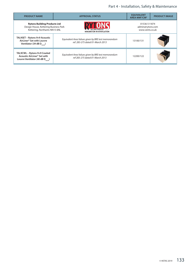## Part 4 - Installation, Safety & Maintenance

| <b>PRODUCT NAME</b>                                                                                                                        | <b>APPROVAL STATUS</b>                                                                  | <b>EOUIVALENT</b><br>AREA MM <sup>2</sup> /CM <sup>2</sup> | <b>PRODUCT IMAGE</b> |
|--------------------------------------------------------------------------------------------------------------------------------------------|-----------------------------------------------------------------------------------------|------------------------------------------------------------|----------------------|
| <b>Rytons Building Products Ltd</b><br>Design House, Kettering Business Park<br>Kettering, Northants NN15 6NL<br>INNOVATION IN VENTILATION |                                                                                         | 01536 511874<br>admin@rytons.com<br>www.vents.co.uk        |                      |
| TAL9SET - Rytons 9×9 Acoustic<br>AirLiner <sup>®</sup> Set with Louvre<br>Ventilator (39 dB $D_{new}$ )                                    | Equivalent Area Values given by BRE test memorandum<br>ref. 283-275 dated 01-March 2013 | 13100/131                                                  |                      |
| TAL9CWL - Rytons 9×9 Cowled<br>Acoustic AirLiner® Set with<br>Louvre Ventilator (40 dB $D_{new}$ )                                         | Equivalent Area Values given by BRE test memorandum<br>ref 283-275 dated 01-March 2013  | 12200/122                                                  |                      |